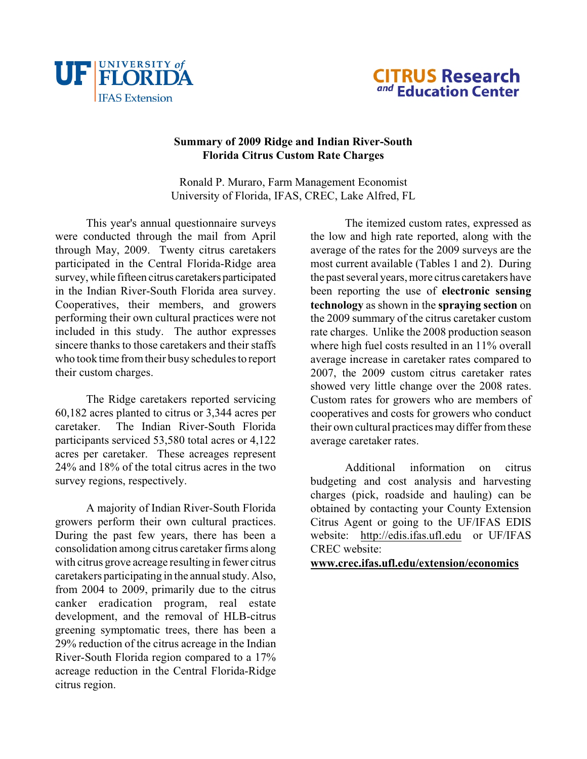



## **Summary of 2009 Ridge and Indian River-South Florida Citrus Custom Rate Charges**

Ronald P. Muraro, Farm Management Economist University of Florida, IFAS, CREC, Lake Alfred, FL

This year's annual questionnaire surveys were conducted through the mail from April through May, 2009. Twenty citrus caretakers participated in the Central Florida-Ridge area survey, while fifteen citrus caretakers participated in the Indian River-South Florida area survey. Cooperatives, their members, and growers performing their own cultural practices were not included in this study. The author expresses sincere thanks to those caretakers and their staffs who took time from their busy schedules to report their custom charges.

The Ridge caretakers reported servicing 60,182 acres planted to citrus or 3,344 acres per caretaker. The Indian River-South Florida participants serviced 53,580 total acres or 4,122 acres per caretaker. These acreages represent 24% and 18% of the total citrus acres in the two survey regions, respectively.

<span id="page-0-0"></span>A majority of Indian River-South Florida growers perform their own cultural practices. During the past few years, there has been a consolidation among citrus caretaker firms along with citrus grove acreage resulting in fewer citrus caretakers participating in the annual study. Also, from 2004 to 2009, primarily due to the citrus canker eradication program, real estate development, and the removal of HLB-citrus greening symptomatic trees, there has been a 29% reduction of the citrus acreage in the Indian River-South Florida region compared to a 17% acreage reduction in the Central Florida-Ridge citrus region.

The itemized custom rates, expressed as the low and high rate reported, along with the average of the rates for the 2009 surveys are the most current available (Tables 1 and 2). During the past several years, more citrus caretakers have been reporting the use of **electronic sensing technology** as shown in the **spraying section** on the 2009 summary of the citrus caretaker custom rate charges. Unlike the 2008 production season where high fuel costs resulted in an 11% overall average increase in caretaker rates compared to 2007, the 2009 custom citrus caretaker rates showed very little change over the 2008 rates. Custom rates for growers who are members of cooperatives and costs for growers who conduct their own cultural practices may differ from these average caretaker rates.

Additional information on citrus budgeting and cost analysis and harvesting charges (pick, roadside and hauling) can be obtained by contacting your County Extension Citrus Agent or going to the UF/IFAS EDIS website: [http://edis.ifas.ufl.edu](#page-0-0) or UF/IFAS CREC website:

**[www.crec.ifas.ufl.edu/extension/economics](http://www.crec.ifas.ufl.edu/extension/economics)**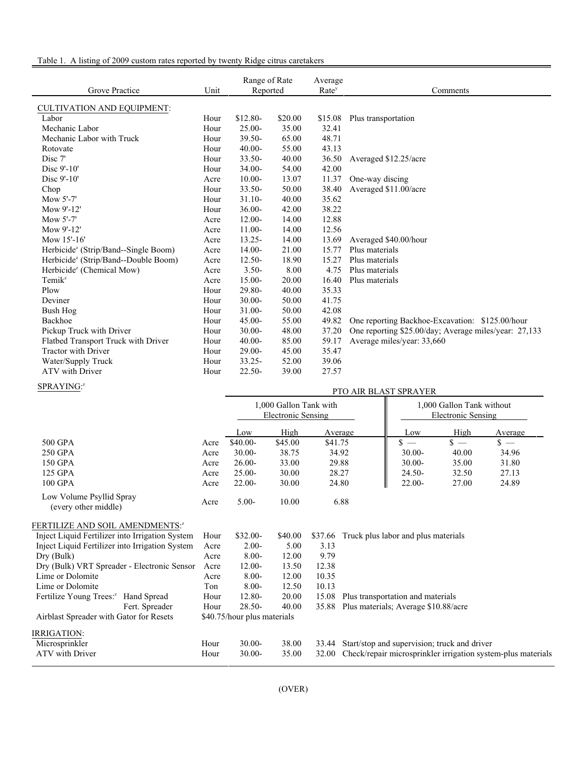## Table 1. A listing of 2009 custom rates reported by twenty Ridge citrus caretakers

| Grove Practice                                   | Unit | Range of Rate<br>Reported |         | Average<br>Rate <sup>y</sup> | Comments                                              |
|--------------------------------------------------|------|---------------------------|---------|------------------------------|-------------------------------------------------------|
| <b>CULTIVATION AND EQUIPMENT:</b>                |      |                           |         |                              |                                                       |
| Labor                                            | Hour | \$12.80-                  | \$20.00 | \$15.08                      | Plus transportation                                   |
| Mechanic Labor                                   | Hour | $25.00 -$                 | 35.00   | 32.41                        |                                                       |
| Mechanic Labor with Truck                        | Hour | $39.50 -$                 | 65.00   | 48.71                        |                                                       |
| Rotovate                                         | Hour | $40.00 -$                 | 55.00   | 43.13                        |                                                       |
| Disc 7'                                          | Hour | 33.50-                    | 40.00   | 36.50                        | Averaged \$12.25/acre                                 |
| Disc 9'-10'                                      | Hour | $34.00 -$                 | 54.00   | 42.00                        |                                                       |
| Disc 9'-10'                                      | Acre | $10.00 -$                 | 13.07   | 11.37                        | One-way discing                                       |
| Chop                                             | Hour | $33.50 -$                 | 50.00   | 38.40                        | Averaged \$11.00/acre                                 |
| Mow 5'-7'                                        | Hour | $31.10-$                  | 40.00   | 35.62                        |                                                       |
| Mow 9'-12'                                       | Hour | $36.00 -$                 | 42.00   | 38.22                        |                                                       |
| Mow 5'-7'                                        | Acre | $12.00 -$                 | 14.00   | 12.88                        |                                                       |
| Mow 9'-12'                                       | Acre | $11.00 -$                 | 14.00   | 12.56                        |                                                       |
| Mow 15'-16'                                      | Acre | $13.25 -$                 | 14.00   | 13.69                        | Averaged \$40.00/hour                                 |
| Herbicide <sup>z</sup> (Strip/Band--Single Boom) | Acre | $14.00 -$                 | 21.00   | 15.77                        | Plus materials                                        |
| Herbicide <sup>z</sup> (Strip/Band--Double Boom) | Acre | $12.50-$                  | 18.90   | 15.27                        | Plus materials                                        |
| Herbicide <sup>z</sup> (Chemical Mow)            | Acre | $3.50-$                   | 8.00    | 4.75                         | Plus materials                                        |
| $Temik^z$                                        | Acre | $15.00 -$                 | 20.00   | 16.40                        | Plus materials                                        |
| Plow                                             | Hour | 29.80-                    | 40.00   | 35.33                        |                                                       |
| Deviner                                          | Hour | $30.00 -$                 | 50.00   | 41.75                        |                                                       |
| Bush Hog                                         | Hour | $31.00 -$                 | 50.00   | 42.08                        |                                                       |
| Backhoe                                          | Hour | $45.00 -$                 | 55.00   | 49.82                        | One reporting Backhoe-Excavation: \$125.00/hour       |
| Pickup Truck with Driver                         | Hour | $30.00 -$                 | 48.00   | 37.20                        | One reporting \$25.00/day; Average miles/year: 27,133 |
| Flatbed Transport Truck with Driver              | Hour | $40.00 -$                 | 85.00   | 59.17                        | Average miles/year: 33,660                            |
| <b>Tractor with Driver</b>                       | Hour | $29.00 -$                 | 45.00   | 35.47                        |                                                       |
| Water/Supply Truck                               | Hour | $33.25 -$                 | 52.00   | 39.06                        |                                                       |
| ATV with Driver                                  | Hour | $22.50 -$                 | 39.00   | 27.57                        |                                                       |

## SPRAYING:<sup>z</sup>

| SPRAYING:"                                       | PTO AIR BLAST SPRAYER |                             |                                                     |         |         |                                                 |       |                                                              |
|--------------------------------------------------|-----------------------|-----------------------------|-----------------------------------------------------|---------|---------|-------------------------------------------------|-------|--------------------------------------------------------------|
|                                                  |                       |                             | 1,000 Gallon Tank with<br><b>Electronic Sensing</b> |         |         | 1,000 Gallon Tank without<br>Electronic Sensing |       |                                                              |
|                                                  |                       | Low                         | High                                                |         | Average | Low                                             | High  | Average                                                      |
| 500 GPA                                          | Acre                  | $$40.00-$                   | \$45.00                                             | \$41.75 |         | $s =$                                           | $s =$ | $s =$                                                        |
| 250 GPA                                          | Acre                  | $30.00 -$                   | 38.75                                               |         | 34.92   | $30.00 -$                                       | 40.00 | 34.96                                                        |
| 150 GPA                                          | Acre                  | $26.00 -$                   | 33.00                                               |         | 29.88   | $30.00 -$                                       | 35.00 | 31.80                                                        |
| 125 GPA                                          | Acre                  | $25.00 -$                   | 30.00                                               |         | 28.27   | $24.50 -$                                       | 32.50 | 27.13                                                        |
| 100 GPA                                          | Acre                  | $22.00 -$                   | 30.00                                               |         | 24.80   | 22.00-                                          | 27.00 | 24.89                                                        |
| Low Volume Psyllid Spray<br>(every other middle) | Acre                  | $5.00-$                     | 10.00                                               |         | 6.88    |                                                 |       |                                                              |
| FERTILIZE AND SOIL AMENDMENTS: <sup>2</sup>      |                       |                             |                                                     |         |         |                                                 |       |                                                              |
| Inject Liquid Fertilizer into Irrigation System  | Hour                  | $$32.00-$                   | \$40.00                                             | \$37.66 |         | Truck plus labor and plus materials             |       |                                                              |
| Inject Liquid Fertilizer into Irrigation System  | Acre                  | $2.00-$                     | 5.00                                                | 3.13    |         |                                                 |       |                                                              |
| Dry (Bulk)                                       | Acre                  | $8.00 -$                    | 12.00                                               | 9.79    |         |                                                 |       |                                                              |
| Dry (Bulk) VRT Spreader - Electronic Sensor      | Acre                  | $12.00 -$                   | 13.50                                               | 12.38   |         |                                                 |       |                                                              |
| Lime or Dolomite                                 | Acre                  | $8.00 -$                    | 12.00                                               | 10.35   |         |                                                 |       |                                                              |
| Lime or Dolomite                                 | Ton                   | $8.00 -$                    | 12.50                                               | 10.13   |         |                                                 |       |                                                              |
| Fertilize Young Trees: <sup>2</sup> Hand Spread  | Hour                  | 12.80-                      | 20.00                                               | 15.08   |         | Plus transportation and materials               |       |                                                              |
| Fert. Spreader                                   | Hour                  | $28.50 -$                   | 40.00                                               | 35.88   |         | Plus materials; Average \$10.88/acre            |       |                                                              |
| Airblast Spreader with Gator for Resets          |                       | \$40.75/hour plus materials |                                                     |         |         |                                                 |       |                                                              |
| IRRIGATION:                                      |                       |                             |                                                     |         |         |                                                 |       |                                                              |
| Microsprinkler                                   | Hour                  | $30.00 -$                   | 38.00                                               | 33.44   |         | Start/stop and supervision; truck and driver    |       |                                                              |
| <b>ATV</b> with Driver                           | Hour                  | $30.00 -$                   | 35.00                                               | 32.00   |         |                                                 |       | Check/repair microsprinkler irrigation system-plus materials |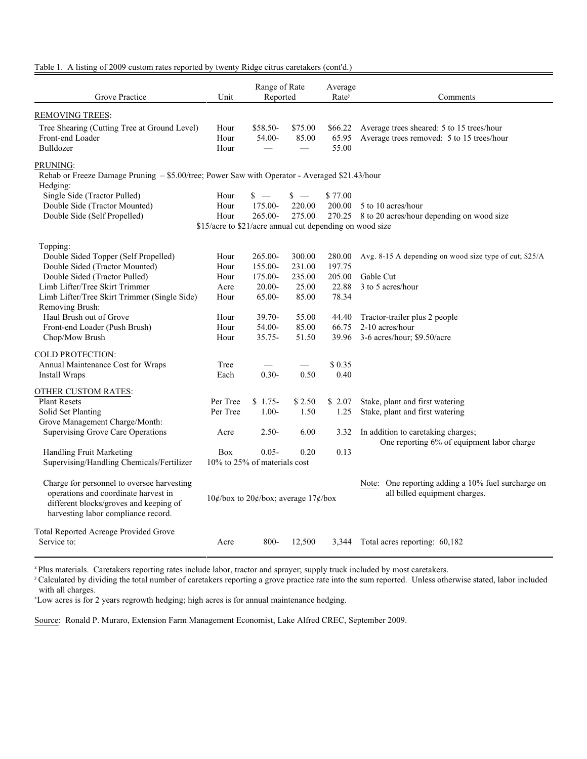| Grove Practice                                                                                                                                                      | Unit                                                     | Range of Rate<br>Reported                      |                  | Average<br>Rate <sup>y</sup> | Comments                                                                               |  |  |  |
|---------------------------------------------------------------------------------------------------------------------------------------------------------------------|----------------------------------------------------------|------------------------------------------------|------------------|------------------------------|----------------------------------------------------------------------------------------|--|--|--|
| REMOVING TREES:                                                                                                                                                     |                                                          |                                                |                  |                              |                                                                                        |  |  |  |
| Tree Shearing (Cutting Tree at Ground Level)<br>Front-end Loader<br>Bulldozer                                                                                       | Hour<br>Hour<br>Hour                                     | \$58.50-<br>54.00-<br>$\overline{\phantom{a}}$ | \$75.00<br>85.00 | \$66.22<br>65.95<br>55.00    | Average trees sheared: 5 to 15 trees/hour<br>Average trees removed: 5 to 15 trees/hour |  |  |  |
| PRUNING:<br>Rehab or Freeze Damage Pruning - \$5.00/tree; Power Saw with Operator - Averaged \$21.43/hour                                                           |                                                          |                                                |                  |                              |                                                                                        |  |  |  |
| Hedging:<br>Single Side (Tractor Pulled)                                                                                                                            | Hour                                                     | $s =$                                          | $s -$            | \$77.00                      |                                                                                        |  |  |  |
| Double Side (Tractor Mounted)                                                                                                                                       | Hour                                                     | 175.00-                                        | 220.00           | 200.00                       | 5 to 10 acres/hour                                                                     |  |  |  |
| Double Side (Self Propelled)                                                                                                                                        | Hour                                                     | $265.00 -$                                     | 275.00           |                              | 270.25 8 to 20 acres/hour depending on wood size                                       |  |  |  |
|                                                                                                                                                                     | \$15/acre to \$21/acre annual cut depending on wood size |                                                |                  |                              |                                                                                        |  |  |  |
| Topping:                                                                                                                                                            |                                                          |                                                |                  |                              |                                                                                        |  |  |  |
| Double Sided Topper (Self Propelled)                                                                                                                                | Hour                                                     | 265.00-                                        | 300.00           | 280.00                       | Avg. 8-15 A depending on wood size type of cut; \$25/A                                 |  |  |  |
| Double Sided (Tractor Mounted)                                                                                                                                      | Hour                                                     | 155.00-                                        | 231.00           | 197.75                       |                                                                                        |  |  |  |
| Double Sided (Tractor Pulled)                                                                                                                                       | Hour                                                     | 175.00-                                        | 235.00           | 205.00                       | Gable Cut                                                                              |  |  |  |
| Limb Lifter/Tree Skirt Trimmer                                                                                                                                      | Acre                                                     | $20.00 -$                                      | 25.00            | 22.88                        | 3 to 5 acres/hour                                                                      |  |  |  |
| Limb Lifter/Tree Skirt Trimmer (Single Side)                                                                                                                        | Hour                                                     | 65.00-                                         | 85.00            | 78.34                        |                                                                                        |  |  |  |
| Removing Brush:                                                                                                                                                     |                                                          |                                                |                  |                              |                                                                                        |  |  |  |
| Haul Brush out of Grove                                                                                                                                             | Hour                                                     | $39.70 -$                                      | 55.00            | 44.40                        | Tractor-trailer plus 2 people                                                          |  |  |  |
| Front-end Loader (Push Brush)                                                                                                                                       | Hour                                                     | 54.00-                                         | 85.00            | 66.75                        | 2-10 acres/hour                                                                        |  |  |  |
| Chop/Mow Brush                                                                                                                                                      | Hour                                                     | $35.75 -$                                      | 51.50            | 39.96                        | 3-6 acres/hour; \$9.50/acre                                                            |  |  |  |
| <b>COLD PROTECTION:</b>                                                                                                                                             |                                                          |                                                |                  |                              |                                                                                        |  |  |  |
| Annual Maintenance Cost for Wraps                                                                                                                                   | Tree                                                     |                                                |                  | \$0.35                       |                                                                                        |  |  |  |
| Install Wraps                                                                                                                                                       | Each                                                     | $0.30 -$                                       | 0.50             | 0.40                         |                                                                                        |  |  |  |
| OTHER CUSTOM RATES:                                                                                                                                                 |                                                          |                                                |                  |                              |                                                                                        |  |  |  |
| <b>Plant Resets</b>                                                                                                                                                 | Per Tree                                                 | $$1.75-$                                       | \$2.50           | \$2.07                       | Stake, plant and first watering                                                        |  |  |  |
| Solid Set Planting                                                                                                                                                  | Per Tree                                                 | $1.00 -$                                       | 1.50             | 1.25                         | Stake, plant and first watering                                                        |  |  |  |
| Grove Management Charge/Month:                                                                                                                                      |                                                          |                                                |                  |                              |                                                                                        |  |  |  |
| <b>Supervising Grove Care Operations</b>                                                                                                                            | Acre                                                     | $2.50-$                                        | 6.00             | 3.32                         | In addition to caretaking charges;<br>One reporting 6% of equipment labor charge       |  |  |  |
| Handling Fruit Marketing                                                                                                                                            | Box                                                      | $0.05 -$                                       | 0.20             | 0.13                         |                                                                                        |  |  |  |
| Supervising/Handling Chemicals/Fertilizer                                                                                                                           | $10\%$ to 25% of materials cost                          |                                                |                  |                              |                                                                                        |  |  |  |
| Charge for personnel to oversee harvesting<br>operations and coordinate harvest in<br>different blocks/groves and keeping of<br>harvesting labor compliance record. | 10¢/box to 20¢/box; average $17¢$ /box                   |                                                |                  |                              | Note: One reporting adding a 10% fuel surcharge on<br>all billed equipment charges.    |  |  |  |
| <b>Total Reported Acreage Provided Grove</b><br>Service to:                                                                                                         | Acre                                                     | $800 -$                                        | 12,500           | 3,344                        | Total acres reporting: 60,182                                                          |  |  |  |

Table 1. A listing of 2009 custom rates reported by twenty Ridge citrus caretakers (cont'd.)

<sup>z</sup> Plus materials. Caretakers reporting rates include labor, tractor and sprayer; supply truck included by most caretakers.

<sup>y</sup> Calculated by dividing the total number of caretakers reporting a grove practice rate into the sum reported. Unless otherwise stated, labor included with all charges.

<sup>x</sup>Low acres is for 2 years regrowth hedging; high acres is for annual maintenance hedging.

Source: Ronald P. Muraro, Extension Farm Management Economist, Lake Alfred CREC, September 2009.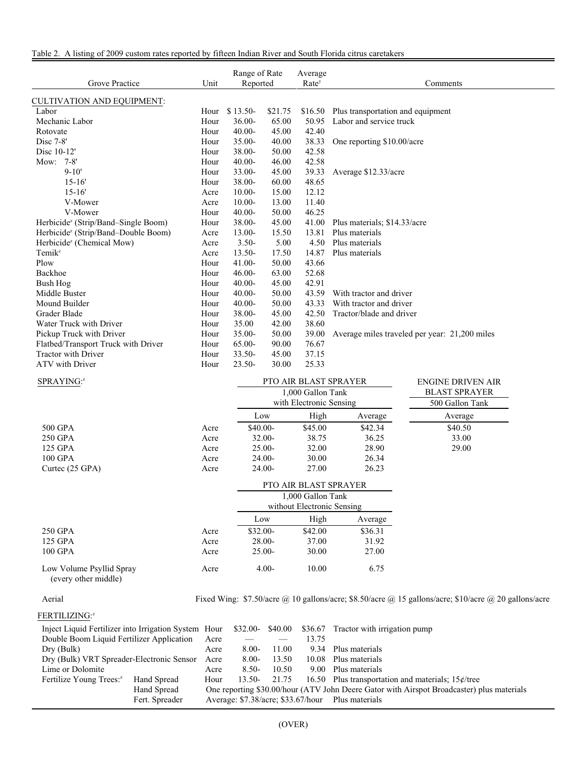| Table 2. A listing of 2009 custom rates reported by fifteen Indian River and South Florida citrus caretakers |  |  |  |  |
|--------------------------------------------------------------------------------------------------------------|--|--|--|--|
|--------------------------------------------------------------------------------------------------------------|--|--|--|--|

| Grove Practice                                  | Unit |           | Range of Rate<br>Average<br>Reported<br>Rate <sup>y</sup> |       | Comments                                            |
|-------------------------------------------------|------|-----------|-----------------------------------------------------------|-------|-----------------------------------------------------|
| CULTIVATION AND EQUIPMENT:                      |      |           |                                                           |       |                                                     |
| Labor                                           | Hour | $$13.50-$ | \$21.75                                                   |       | \$16.50 Plus transportation and equipment           |
| Mechanic Labor                                  | Hour | $36.00 -$ | 65.00                                                     | 50.95 | Labor and service truck                             |
| Rotovate                                        | Hour | $40.00 -$ | 45.00                                                     | 42.40 |                                                     |
| $Disc 7-8'$                                     | Hour | $35.00 -$ | 40.00                                                     | 38.33 | One reporting \$10.00/acre                          |
| Disc 10-12'                                     | Hour | 38.00-    | 50.00                                                     | 42.58 |                                                     |
| Mow: 7-8'                                       | Hour | $40.00 -$ | 46.00                                                     | 42.58 |                                                     |
| $9 - 10'$                                       | Hour | 33.00-    | 45.00                                                     | 39.33 | Average \$12.33/acre                                |
| $15 - 16'$                                      | Hour | 38.00-    | 60.00                                                     | 48.65 |                                                     |
| $15 - 16'$                                      | Acre | $10.00 -$ | 15.00                                                     | 12.12 |                                                     |
| V-Mower                                         | Acre | $10.00 -$ | 13.00                                                     | 11.40 |                                                     |
| V-Mower                                         | Hour | $40.00 -$ | 50.00                                                     | 46.25 |                                                     |
| Herbicide <sup>z</sup> (Strip/Band–Single Boom) | Hour | 38.00-    | 45.00                                                     | 41.00 | Plus materials; \$14.33/acre                        |
| Herbicide <sup>z</sup> (Strip/Band-Double Boom) | Acre | 13.00-    | 15.50                                                     | 13.81 | Plus materials                                      |
| Herbicide <sup>z</sup> (Chemical Mow)           | Acre | $3.50-$   | 5.00                                                      | 4.50  | Plus materials                                      |
| $Temik^z$                                       | Acre | $13.50 -$ | 17.50                                                     | 14.87 | Plus materials                                      |
| Plow                                            | Hour | 41.00-    | 50.00                                                     | 43.66 |                                                     |
| Backhoe                                         | Hour | $46.00 -$ | 63.00                                                     | 52.68 |                                                     |
| <b>Bush Hog</b>                                 | Hour | $40.00 -$ | 45.00                                                     | 42.91 |                                                     |
| Middle Buster                                   | Hour | $40.00 -$ | 50.00                                                     | 43.59 | With tractor and driver                             |
| Mound Builder                                   | Hour | $40.00 -$ | 50.00                                                     | 43.33 | With tractor and driver                             |
| Grader Blade                                    | Hour | $38.00 -$ | 45.00                                                     | 42.50 | Tractor/blade and driver                            |
| Water Truck with Driver                         | Hour | 35.00     | 42.00                                                     | 38.60 |                                                     |
| Pickup Truck with Driver                        | Hour | $35.00 -$ | 50.00                                                     | 39.00 | Average miles traveled per year: 21,200 miles       |
| Flatbed/Transport Truck with Driver             | Hour | 65.00-    | 90.00                                                     | 76.67 |                                                     |
| <b>Tractor with Driver</b>                      | Hour | $33.50 -$ | 45.00                                                     | 37.15 |                                                     |
| ATV with Driver                                 | Hour | $23.50 -$ | 30.00                                                     | 25.33 |                                                     |
| CDD A VINIC <sub>2</sub>                        |      |           |                                                           |       | DTO AID DI ACT CDD AVED<br><b>EMOINIE DRUCKLAID</b> |

| 1,000 Gallon Tank                                               | <b>BLAST SPRAYER</b> |
|-----------------------------------------------------------------|----------------------|
| with Electronic Sensing                                         | 500 Gallon Tank      |
| High<br>Low<br>Average                                          | Average              |
| \$42.34<br>\$45.00<br>$$40.00-$<br>500 GPA<br>Acre              | \$40.50              |
| 36.25<br>250 GPA<br>38.75<br>$32.00 -$<br>Acre                  | 33.00                |
| 125 GPA<br>32.00<br>28.90<br>$25.00-$<br>Acre                   | 29.00                |
| 30.00<br>26.34<br>100 GPA<br>$24.00-$<br>Acre                   |                      |
| Curtec $(25 \text{ GPA})$<br>26.23<br>$24.00-$<br>27.00<br>Acre |                      |

|         |      | <b>PTO AIR BLAST SPRAYER</b> |         |         |  |  |
|---------|------|------------------------------|---------|---------|--|--|
|         |      | 1,000 Gallon Tank            |         |         |  |  |
|         |      | without Electronic Sensing   |         |         |  |  |
|         |      | Low                          | Average |         |  |  |
| 250 GPA | Acre | $$32.00-$                    | \$42.00 | \$36.31 |  |  |
| 125 GPA | Acre | $28.00 -$                    | 37.00   | 31.92   |  |  |

100 GPA 25.00- 27.00

 Low Volume Psyllid Spray (every other middle)

Aerial Fixed Wing: \$7.50/acre @ 10 gallons/acre; \$8.50/acre @ 15 gallons/acre; \$10/acre @ 20 gallons/acre

i

## FERTILIZING:<sup>z</sup>

|                                           |                |                                                                                           |          |       |       | Inject Liquid Fertilizer into Irrigation System Hour \$32.00-\$40.00 \$36.67 Tractor with irrigation pump |  |
|-------------------------------------------|----------------|-------------------------------------------------------------------------------------------|----------|-------|-------|-----------------------------------------------------------------------------------------------------------|--|
| Double Boom Liquid Fertilizer Application |                | Acre                                                                                      |          |       | 13.75 |                                                                                                           |  |
| Dry (Bulk)                                |                | Acre                                                                                      | $8.00 -$ | 11.00 |       | 9.34 Plus materials                                                                                       |  |
| Dry (Bulk) VRT Spreader-Electronic Sensor |                | Acre                                                                                      | $8.00 -$ | 13.50 |       | 10.08 Plus materials                                                                                      |  |
| Lime or Dolomite                          |                | Acre                                                                                      | $8.50-$  | 10.50 |       | 9.00 Plus materials                                                                                       |  |
| Fertilize Young Trees: <sup>2</sup>       | Hand Spread    | Hour                                                                                      | 13.50-   | 21.75 |       | 16.50 Plus transportation and materials; $15¢$ /tree                                                      |  |
|                                           | Hand Spread    | One reporting \$30.00/hour (ATV John Deere Gator with Airspot Broadcaster) plus materials |          |       |       |                                                                                                           |  |
|                                           | Fert. Spreader | Average: \$7.38/acre; \$33.67/hour Plus materials                                         |          |       |       |                                                                                                           |  |

Acre 4.00- 10.00 6.75